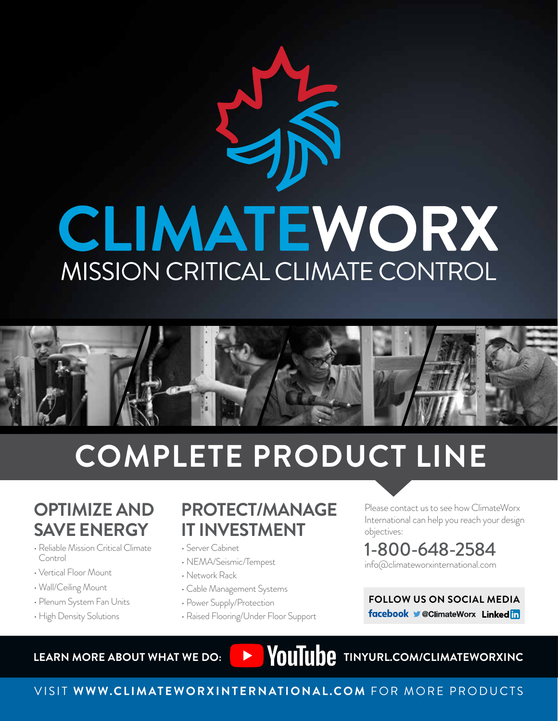# CLIMATEWORX MISSION CRITICAL CLIMATE CONTROL



# **COMPLETE PRODUCT LINE**

# **OPTIMIZE AND SAVE ENERGY**

- Reliable Mission Critical Climate Control
- Vertical Floor Mount
- Wall/Ceiling Mount
- Plenum System Fan Units
- High Density Solutions

# **PROTECT/MANAGE IT INVESTMENT**

- Server Cabinet
- NEMA/Seismic/Tempest
- Network Rack
- Cable Management Systems
- Power Supply/Protection
- Raised Flooring/Under Floor Support

Please contact us to see how ClimateWorx International can help you reach your design objectives:

## 1-800-648-2584 info@climateworxinternational.com

**FOLLOW US ON SOCIAL MEDIA** facebook CClimateWorx Linkedin

LEARN MORE ABOUT WHAT WE DO: **THE WAS SERVED MANUAL PROPERTY OF A SERVER WAS LEARN MORE ABOUT WHAT WE DO:** 

# VISIT **WWW.CLIMATEWORXINTERNATIONAL.COM** FOR MORE PRODUCTS